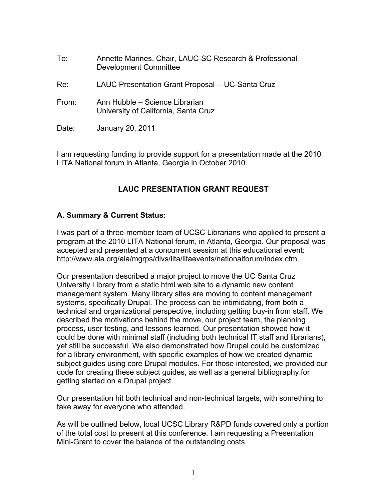- To: Annette Marines, Chair, LAUC-SC Research & Professional Development Committee
- Re: LAUC Presentation Grant Proposal -- UC-Santa Cruz
- From: Ann Hubble Science Librarian University of California, Santa Cruz
- Date: January 20, 2011

I am requesting funding to provide support for a presentation made at the 2010 LITA National forum in Atlanta, Georgia in October 2010.

# **LAUC PRESENTATION GRANT REQUEST**

### **A. Summary & Current Status:**

I was part of a three-member team of UCSC Librarians who applied to present a program at the 2010 LITA National forum, in Atlanta, Georgia. Our proposal was accepted and presented at a concurrent session at this educational event: http://www.ala.org/ala/mgrps/divs/lita/litaevents/nationalforum/index.cfm

Our presentation described a major project to move the UC Santa Cruz University Library from a static html web site to a dynamic new content management system. Many library sites are moving to content management systems, specifically Drupal. The process can be intimidating, from both a technical and organizational perspective, including getting buy-in from staff. We described the motivations behind the move, our project team, the planning process, user testing, and lessons learned. Our presentation showed how it could be done with minimal staff (including both technical IT staff and librarians), yet still be successful. We also demonstrated how Drupal could be customized for a library environment, with specific examples of how we created dynamic subject guides using core Drupal modules. For those interested, we provided our code for creating these subject guides, as well as a general bibliography for getting started on a Drupal project.

Our presentation hit both technical and non-technical targets, with something to take away for everyone who attended.

As will be outlined below, local UCSC Library R&PD funds covered only a portion of the total cost to present at this conference. I am requesting a Presentation Mini-Grant to cover the balance of the outstanding costs.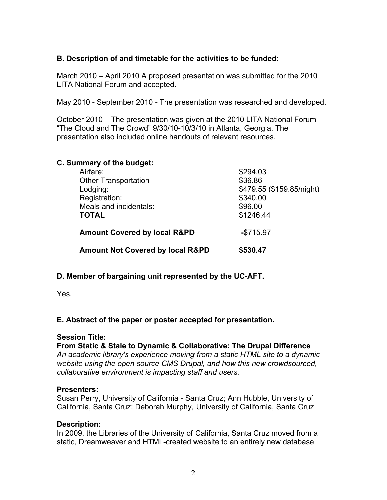# **B. Description of and timetable for the activities to be funded:**

March 2010 – April 2010 A proposed presentation was submitted for the 2010 LITA National Forum and accepted.

May 2010 - September 2010 *-* The presentation was researched and developed.

October 2010 – The presentation was given at the 2010 LITA National Forum "The Cloud and The Crowd" 9/30/10-10/3/10 in Atlanta, Georgia. The presentation also included online handouts of relevant resources.

| C. Summary of the budget:<br>Airfare:       | \$294.03                  |
|---------------------------------------------|---------------------------|
|                                             |                           |
| Lodging:                                    | \$479.55 (\$159.85/night) |
| Registration:                               | \$340.00                  |
| Meals and incidentals:                      | \$96.00                   |
| <b>TOTAL</b>                                | \$1246.44                 |
| <b>Amount Covered by local R&amp;PD</b>     | $-$ \$715.97              |
| <b>Amount Not Covered by local R&amp;PD</b> | \$530.47                  |

### **D. Member of bargaining unit represented by the UC-AFT.**

Yes.

### **E. Abstract of the paper or poster accepted for presentation.**

### **Session Title:**

### **From Static & Stale to Dynamic & Collaborative: The Drupal Difference**

*An academic library's experience moving from a static HTML site to a dynamic website using the open source CMS Drupal, and how this new crowdsourced, collaborative environment is impacting staff and users.*

#### **Presenters:**

Susan Perry, University of California - Santa Cruz; Ann Hubble, University of California, Santa Cruz; Deborah Murphy, University of California, Santa Cruz

### **Description:**

In 2009, the Libraries of the University of California, Santa Cruz moved from a static, Dreamweaver and HTML-created website to an entirely new database